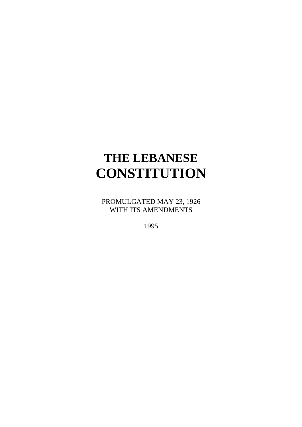# **THE LEBANESE CONSTITUTION**

PROMULGATED MAY 23, 1926 WITH ITS AMENDMENTS

1995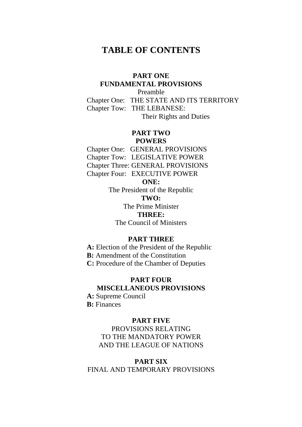### **TABLE OF CONTENTS**

### **PART ONE FUNDAMENTAL PROVISIONS**

Preamble Chapter One: THE STATE AND ITS TERRITORY Chapter Tow: THE LEBANESE: Their Rights and Duties

### **PART TWO POWERS**

Chapter One: GENERAL PROVISIONS Chapter Tow: LEGISLATIVE POWER

Chapter Three: GENERAL PROVISIONS

Chapter Four: EXECUTIVE POWER

### **ONE:**

The President of the Republic **TWO:** 

The Prime Minister **THREE:** 

The Council of Ministers

### **PART THREE**

**A:** Election of the President of the Republic

**B:** Amendment of the Constitution

**C:** Procedure of the Chamber of Deputies

## **PART FOUR**

### **MISCELLANEOUS PROVISIONS**

**A:** Supreme Council **B:** Finances

### **PART FIVE**

PROVISIONS RELATING TO THE MANDATORY POWER AND THE LEAGUE OF NATIONS

### **PART SIX**

FINAL AND TEMPORARY PROVISIONS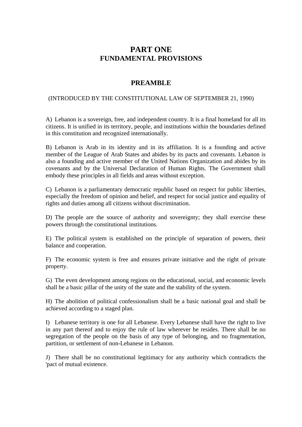### **PART ONE FUNDAMENTAL PROVISIONS**

### **PREAMBLE**

### (INTRODUCED BY THE CONSTITUTIONAL LAW OF SEPTEMBER 21, 1990)

A) Lebanon is a sovereign, free, and independent country. It is a final homeland for all its citizens. It is unified in its territory, people, and institutions within the boundaries defined in this constitution and recognized internationally.

B) Lebanon is Arab in its identity and in its affiliation. It is a founding and active member of the League of Arab States and abides by its pacts and covenants. Lebanon is also a founding and active member of the United Nations Organization and abides by its covenants and by the Universal Declaration of Human Rights. The Government shall embody these principles in all fields and areas without exception.

C) Lebanon is a parliamentary democratic republic based on respect for public liberties, especially the freedom of opinion and belief, and respect for social justice and equality of rights and duties among all citizens without discrimination.

D) The people are the source of authority and sovereignty; they shall exercise these powers through the constitutional institutions.

E) The political system is established on the principle of separation of powers, their balance and cooperation.

F) The economic system is free and ensures private initiative and the right of private property.

G) The even development among regions on the educational, social, and economic levels shall be a basic pillar of the unity of the state and the stability of the system.

H) The abolition of political confessionalism shall be a basic national goal and shall be achieved according to a staged plan.

I) Lebanese territory is one for all Lebanese. Every Lebanese shall have the right to live in any part thereof and to enjoy the rule of law wherever he resides. There shall be no segregation of the people on the basis of any type of belonging, and no fragmentation, partition, or settlement of non-Lebanese in Lebanon.

J) There shall be no constitutional legitimacy for any authority which contradicts the 'pact of mutual existence.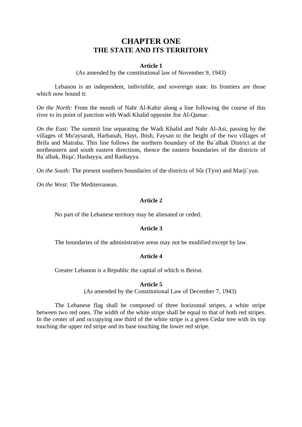### **CHAPTER ONE THE STATE AND ITS TERRITORY**

#### **Article 1**

(As amended by the constitutional law of November 9, 1943)

Lebanon is an independent, indivisible, and sovereign state. Its frontiers are those which now bound it:

*On the North:* From the mouth of Nahr Al-Kabir along a line following the course of this river to its point of junction with Wadi Khalid opposite Jisr Al-Qamar.

*On the East:* The summit line separating the Wadi Khalid and Nahr Al-Asi, passing by the villages of Mu'aysarah, Harbanah, Hayt, Ibish, Faysan to the height of the two villages of Brifa and Matraba. This line follows the northern boundary of the Ba`albak District at the northeastern and south eastern directions, thence the eastern boundaries of the districts of Ba`albak, Biqa', Hasbayya, and Rashayya.

*On the South:* The present southern boundaries of the districts of Sûr (Tyre) and Marii'yun.

*On the West:* The Mediterranean.

#### **Article 2**

No part of the Lebanese territory may be alienated or ceded.

#### **Article 3**

The boundaries of the administrative areas may not be modified except by law.

#### **Article 4**

Greater Lebanon is a Republic the capital of which is Beirut.

#### **Article 5**

(As amended by the Constitutional Law of December 7, 1943)

The Lebanese flag shall be composed of three horizontal stripes, a white stripe between two red ones. The width of the white stripe shall be equal to that of both red stripes. In the center of and occupying one third of the white stripe is a green Cedar tree with its top touching the upper red stripe and its base touching the lower red stripe.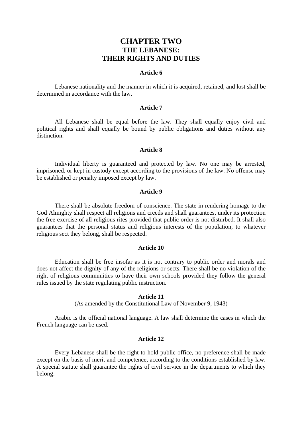### **CHAPTER TWO THE LEBANESE: THEIR RIGHTS AND DUTIES**

#### **Article 6**

Lebanese nationality and the manner in which it is acquired, retained, and lost shall be determined in accordance with the law.

#### **Article 7**

All Lebanese shall be equal before the law. They shall equally enjoy civil and political rights and shall equally be bound by public obligations and duties without any distinction.

#### **Article 8**

Individual liberty is guaranteed and protected by law. No one may be arrested, imprisoned, or kept in custody except according to the provisions of the law. No offense may be established or penalty imposed except by law.

#### **Article 9**

There shall be absolute freedom of conscience. The state in rendering homage to the God Almighty shall respect all religions and creeds and shall guarantees, under its protection the free exercise of all religious rites provided that public order is not disturbed. It shall also guarantees that the personal status and religious interests of the population, to whatever religious sect they belong, shall be respected.

#### **Article 10**

Education shall be free insofar as it is not contrary to public order and morals and does not affect the dignity of any of the religions or sects. There shall be no violation of the right of religious communities to have their own schools provided they follow the general rules issued by the state regulating public instruction.

#### **Article 11**

(As amended by the Constitutional Law of November 9, 1943)

Arabic is the official national language. A law shall determine the cases in which the French language can be used.

#### **Article 12**

Every Lebanese shall be the right to hold public office, no preference shall be made except on the basis of merit and competence, according to the conditions established by law. A special statute shall guarantee the rights of civil service in the departments to which they belong.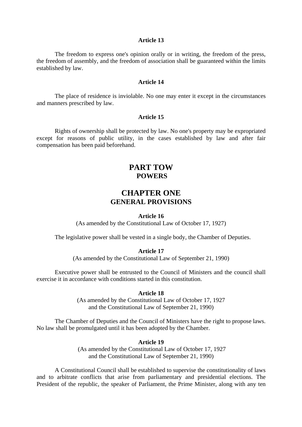The freedom to express one's opinion orally or in writing, the freedom of the press, the freedom of assembly, and the freedom of association shall be guaranteed within the limits established by law.

#### **Article 14**

The place of residence is inviolable. No one may enter it except in the circumstances and manners prescribed by law.

#### **Article 15**

Rights of ownership shall be protected by law. No one's property may be expropriated except for reasons of public utility, in the cases established by law and after fair compensation has been paid beforehand.

### **PART TOW POWERS**

### **CHAPTER ONE GENERAL PROVISIONS**

#### **Article 16**

(As amended by the Constitutional Law of October 17, 1927)

The legislative power shall be vested in a single body, the Chamber of Deputies.

#### **Article 17**

(As amended by the Constitutional Law of September 21, 1990)

Executive power shall be entrusted to the Council of Ministers and the council shall exercise it in accordance with conditions started in this constitution.

#### **Article 18**

(As amended by the Constitutional Law of October 17, 1927 and the Constitutional Law of September 21, 1990)

The Chamber of Deputies and the Council of Ministers have the right to propose laws. No law shall be promulgated until it has been adopted by the Chamber.

#### **Article 19**

 (As amended by the Constitutional Law of October 17, 1927 and the Constitutional Law of September 21, 1990)

A Constitutional Council shall be established to supervise the constitutionality of laws and to arbitrate conflicts that arise from parliamentary and presidential elections. The President of the republic, the speaker of Parliament, the Prime Minister, along with any ten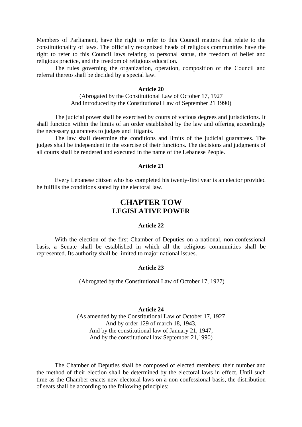Members of Parliament, have the right to refer to this Council matters that relate to the constitutionality of laws. The officially recognized heads of religious communities have the right to refer to this Council laws relating to personal status, the freedom of belief and religious practice, and the freedom of religious education.

The rules governing the organization, operation, composition of the Council and referral thereto shall be decided by a special law.

#### **Article 20**

(Abrogated by the Constitutional Law of October 17, 1927 And introduced by the Constitutional Law of September 21 1990)

The judicial power shall be exercised by courts of various degrees and jurisdictions. It shall function within the limits of an order established by the law and offering accordingly the necessary guarantees to judges and litigants.

The law shall determine the conditions and limits of the judicial guarantees. The judges shall be independent in the exercise of their functions. The decisions and judgments of all courts shall be rendered and executed in the name of the Lebanese People.

#### **Article 21**

Every Lebanese citizen who has completed his twenty-first year is an elector provided he fulfills the conditions stated by the electoral law.

### **CHAPTER TOW LEGISLATIVE POWER**

#### **Article 22**

With the election of the first Chamber of Deputies on a national, non-confessional basis, a Senate shall be established in which all the religious communities shall be represented. Its authority shall be limited to major national issues.

#### **Article 23**

(Abrogated by the Constitutional Law of October 17, 1927)

#### **Article 24**

(As amended by the Constitutional Law of October 17, 1927 And by order 129 of march 18, 1943, And by the constitutional law of January 21, 1947, And by the constitutional law September 21,1990)

The Chamber of Deputies shall be composed of elected members; their number and the method of their election shall be determined by the electoral laws in effect. Until such time as the Chamber enacts new electoral laws on a non-confessional basis, the distribution of seats shall be according to the following principles: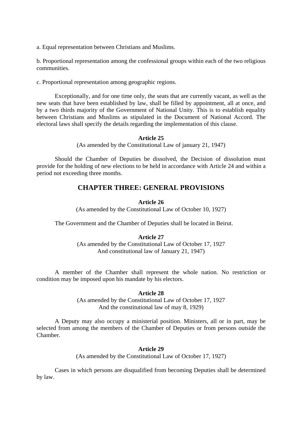a. Equal representation between Christians and Muslims.

b. Proportional representation among the confessional groups within each of the two religious communities.

c. Proportional representation among geographic regions.

Exceptionally, and for one time only, the seats that are currently vacant, as well as the new seats that have been established by law, shall be filled by appointment, all at once, and by a two thirds majority of the Government of National Unity. This is to establish equality between Christians and Muslims as stipulated in the Document of National Accord. The electoral laws shall specify the details regarding the implementation of this clause.

#### **Article 25**

(As amended by the Constitutional Law of january 21, 1947)

Should the Chamber of Deputies be dissolved, the Decision of dissolution must provide for the holding of new elections to be held in accordance with Article 24 and within a period not exceeding three months.

### **CHAPTER THREE: GENERAL PROVISIONS**

#### **Article 26**

(As amended by the Constitutional Law of October 10, 1927)

The Government and the Chamber of Deputies shall be located in Beirut.

#### **Article 27**

(As amended by the Constitutional Law of October 17, 1927 And constitutional law of January 21, 1947)

A member of the Chamber shall represent the whole nation. No restriction or condition may be imposed upon his mandate by his electors.

#### **Article 28**

(As amended by the Constitutional Law of October 17, 1927 And the constitutional law of may 8, 1929)

A Deputy may also occupy a ministerial position. Ministers, all or in part, may be selected from among the members of the Chamber of Deputies or from persons outside the Chamber.

#### **Article 29**

(As amended by the Constitutional Law of October 17, 1927)

Cases in which persons are disqualified from becoming Deputies shall be determined by law.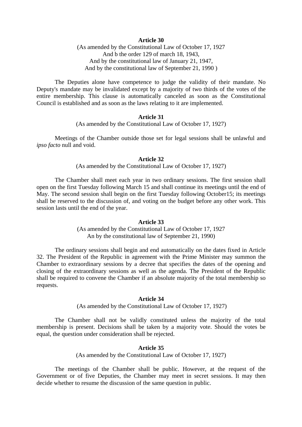(As amended by the Constitutional Law of October 17, 1927 And b the order 129 of march 18, 1943, And by the constitutional law of January 21, 1947, And by the constitutional law of September 21, 1990 )

The Deputies alone have competence to judge the validity of their mandate. No Deputy's mandate may be invalidated except by a majority of two thirds of the votes of the entire membership. This clause is automatically canceled as soon as the Constitutional Council is established and as soon as the laws relating to it are implemented.

#### **Article 31**

(As amended by the Constitutional Law of October 17, 1927)

Meetings of the Chamber outside those set for legal sessions shall be unlawful and *ipso facto* null and void.

#### **Article 32**

(As amended by the Constitutional Law of October 17, 1927)

The Chamber shall meet each year in two ordinary sessions. The first session shall open on the first Tuesday following March 15 and shall continue its meetings until the end of May. The second session shall begin on the first Tuesday following October15; its meetings shall be reserved to the discussion of, and voting on the budget before any other work. This session lasts until the end of the year.

#### **Article 33**

(As amended by the Constitutional Law of October 17, 1927 An by the constitutional law of September 21, 1990)

The ordinary sessions shall begin and end automatically on the dates fixed in Article 32. The President of the Republic in agreement with the Prime Minister may summon the Chamber to extraordinary sessions by a decree that specifies the dates of the opening and closing of the extraordinary sessions as well as the agenda. The President of the Republic shall be required to convene the Chamber if an absolute majority of the total membership so requests.

#### **Article 34**

(As amended by the Constitutional Law of October 17, 1927)

The Chamber shall not be validly constituted unless the majority of the total membership is present. Decisions shall be taken by a majority vote. Should the votes be equal, the question under consideration shall be rejected.

#### **Article 35**

(As amended by the Constitutional Law of October 17, 1927)

The meetings of the Chamber shall be public. However, at the request of the Government or of five Deputies, the Chamber may meet in secret sessions. It may then decide whether to resume the discussion of the same question in public.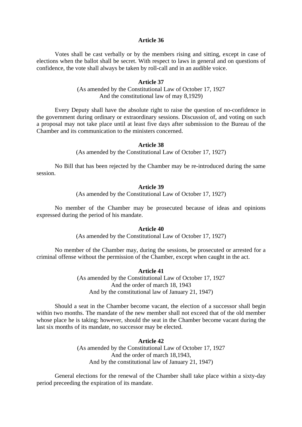Votes shall be cast verbally or by the members rising and sitting, except in case of elections when the ballot shall be secret. With respect to laws in general and on questions of confidence, the vote shall always be taken by roll-call and in an audible voice.

#### **Article 37**

(As amended by the Constitutional Law of October 17, 1927 And the constitutional law of may 8,1929)

Every Deputy shall have the absolute right to raise the question of no-confidence in the government during ordinary or extraordinary sessions. Discussion of, and voting on such a proposal may not take place until at least five days after submission to the Bureau of the Chamber and its communication to the ministers concerned.

#### **Article 38**

(As amended by the Constitutional Law of October 17, 1927)

No Bill that has been rejected by the Chamber may be re-introduced during the same session.

#### **Article 39**

(As amended by the Constitutional Law of October 17, 1927)

No member of the Chamber may be prosecuted because of ideas and opinions expressed during the period of his mandate.

#### **Article 40**

(As amended by the Constitutional Law of October 17, 1927)

No member of the Chamber may, during the sessions, be prosecuted or arrested for a criminal offense without the permission of the Chamber, except when caught in the act.

#### **Article 41**

(As amended by the Constitutional Law of October 17, 1927 And the order of march 18, 1943 And by the constitutional law of January 21, 1947)

Should a seat in the Chamber become vacant, the election of a successor shall begin within two months. The mandate of the new member shall not exceed that of the old member whose place he is taking; however, should the seat in the Chamber become vacant during the last six months of its mandate, no successor may be elected.

#### **Article 42**

(As amended by the Constitutional Law of October 17, 1927 And the order of march 18,1943, And by the constitutional law of January 21, 1947)

General elections for the renewal of the Chamber shall take place within a sixty-day period preceeding the expiration of its mandate.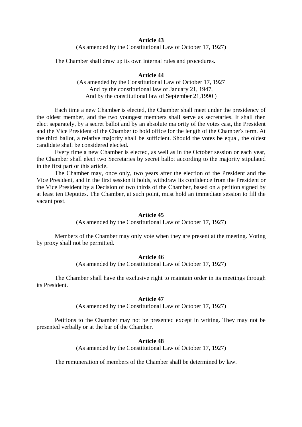(As amended by the Constitutional Law of October 17, 1927)

The Chamber shall draw up its own internal rules and procedures.

#### **Article 44**

(As amended by the Constitutional Law of October 17, 1927 And by the constitutional law of January 21, 1947, And by the constitutional law of September 21,1990 )

Each time a new Chamber is elected, the Chamber shall meet under the presidency of the oldest member, and the two youngest members shall serve as secretaries. It shall then elect separately, by a secret ballot and by an absolute majority of the votes cast, the President and the Vice President of the Chamber to hold office for the length of the Chamber's term. At the third ballot, a relative majority shall be sufficient. Should the votes be equal, the oldest candidate shall be considered elected.

Every time a new Chamber is elected, as well as in the October session or each year, the Chamber shall elect two Secretaries by secret ballot according to the majority stipulated in the first part or this article.

The Chamber may, once only, two years after the election of the President and the Vice President, and in the first session it holds, withdraw its confidence from the President or the Vice President by a Decision of two thirds of the Chamber, based on a petition signed by at least ten Deputies. The Chamber, at such point, must hold an immediate session to fill the vacant post.

#### **Article 45**

(As amended by the Constitutional Law of October 17, 1927)

Members of the Chamber may only vote when they are present at the meeting. Voting by proxy shall not be permitted.

#### **Article 46**

(As amended by the Constitutional Law of October 17, 1927)

The Chamber shall have the exclusive right to maintain order in its meetings through its President.

#### **Article 47**

(As amended by the Constitutional Law of October 17, 1927)

Petitions to the Chamber may not be presented except in writing. They may not be presented verbally or at the bar of the Chamber.

#### **Article 48**

(As amended by the Constitutional Law of October 17, 1927)

The remuneration of members of the Chamber shall be determined by law.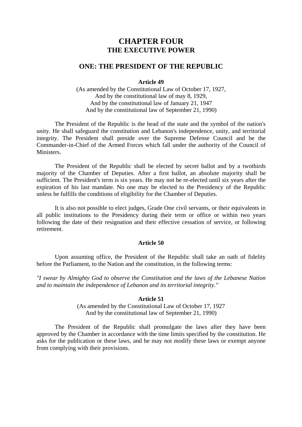### **CHAPTER FOUR THE EXECUTIVE POWER**

#### **ONE: THE PRESIDENT OF THE REPUBLIC**

#### **Article 49**

(As amended by the Constitutional Law of October 17, 1927, And by the constitutional law of may 8, 1929, And by the constitutional law of January 21, 1947 And by the constitutional law of September 21, 1990)

The President of the Republic is the head of the state and the symbol of the nation's unity. He shall safeguard the constitution and Lebanon's independence, unity, and territorial integrity. The President shall preside over the Supreme Defense Council and be the Commander-in-Chief of the Armed Forces which fall under the authority of the Council of **Ministers** 

The President of the Republic shall be elected by secret ballot and by a twothirds majority of the Chamber of Deputies. After a first ballot, an absolute majority shall be sufficient. The President's term is six years. He may not be re-elected until six years after the expiration of his last mandate. No one may be elected to the Presidency of the Republic unless he fulfills the conditions of eligibility for the Chamber of Deputies.

It is also not possible to elect judges, Grade One civil servants, or their equivalents in all public institutions to the Presidency during their term or office or within two years following the date of their resignation and their effective cessation of service, or following retirement.

#### **Article 50**

Upon assuming office, the President of the Republic shall take an oath of fidelity before the Parliament, to the Nation and the constitution, in the following terms:

*"I swear by Almighty God to observe the Constitution and the laws of the Lebanese Nation and to maintain the independence of Lebanon and its territorial integrity."*

#### **Article 51**

(As amended by the Constitutional Law of October 17, 1927 And by the constitutional law of September 21, 1990)

The President of the Republic shall promulgate the laws after they have been approved by the Chamber in accordance with the time limits specified by the constitution. He asks for the publication or these laws, and he may not modify these laws or exempt anyone from complying with their provisions.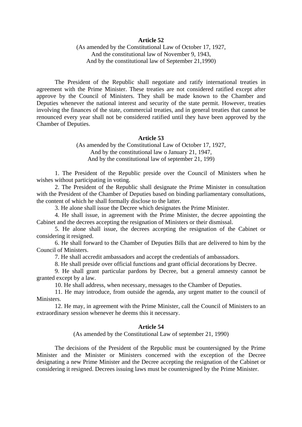(As amended by the Constitutional Law of October 17, 1927, And the constitutional law of November 9, 1943, And by the constitutional law of September 21,1990)

The President of the Republic shall negotiate and ratify international treaties in agreement with the Prime Minister. These treaties are not considered ratified except after approve by the Council of Ministers. They shall be made known to the Chamber and Deputies whenever the national interest and security of the state permit. However, treaties involving the finances of the state, commercial treaties, and in general treaties that cannot be renounced every year shall not be considered ratified until they have been approved by the Chamber of Deputies.

#### **Article 53**

(As amended by the Constitutional Law of October 17, 1927, And by the constitutional law o January 21, 1947, And by the constitutional law of september 21, 199)

1. The President of the Republic preside over the Council of Ministers when he wishes without participating in voting.

2. The President of the Republic shall designate the Prime Minister in consultation with the President of the Chamber of Deputies based on binding parliamentary consultations, the content of which he shall formally disclose to the latter.

3. He alone shall issue the Decree which designates the Prime Minister.

4. He shall issue, in agreement with the Prime Minister, the decree appointing the Cabinet and the decrees accepting the resignation of Ministers or their dismissal.

5. He alone shall issue, the decrees accepting the resignation of the Cabinet or considering it resigned.

6. He shall forward to the Chamber of Deputies Bills that are delivered to him by the Council of Ministers.

7. He shall accredit ambassadors and accept the credentials of ambassadors.

8. He shall preside over official functions and grant official decorations by Decree.

9. He shall grant particular pardons by Decree, but a general amnesty cannot be granted except by a law.

10. He shall address, when necessary, messages to the Chamber of Deputies.

11. He may introduce, from outside the agenda, any urgent matter to the council of Ministers.

12. He may, in agreement with the Prime Minister, call the Council of Ministers to an extraordinary session whenever he deems this it necessary.

#### **Article 54**

(As amended by the Constitutional Law of september 21, 1990)

The decisions of the President of the Republic must be countersigned by the Prime Minister and the Minister or Ministers concerned with the exception of the Decree designating a new Prime Minister and the Decree accepting the resignation of the Cabinet or considering it resigned. Decrees issuing laws must be countersigned by the Prime Minister.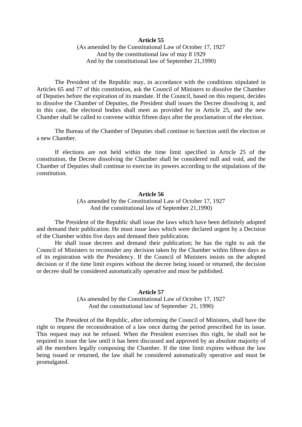(As amended by the Constitutional Law of October 17, 1927 And by the constitutional law of may 8 1929 And by the constitutional law of September 21,1990)

The President of the Republic may, in accordance with the conditions stipulated in Articles 65 and 77 of this constitution, ask the Council of Ministers to dissolve the Chamber of Deputies before the expiration of its mandate. If the Council, based on this request, decides to dissolve the Chamber of Deputies, the President shall issues the Decree dissolving it, and in this case, the electoral bodies shall meet as provided for in Article 25, and the new Chamber shall be called to convene within fifteen days after the proclamation of the election.

The Bureau of the Chamber of Deputies shall continue to function until the election or a new Chamber.

If elections are not held within the time limit specified in Article 25 of the constitution, the Decree dissolving the Chamber shall be considered null and void, and the Chamber of Deputies shall continue to exercise its powers according to the stipulations of the constitution.

#### **Article 56**

(As amended by the Constitutional Law of October 17, 1927 And the constitutional law of September 21,1990)

The President of the Republic shall issue the laws which have been definitely adopted and demand their publication. He must issue laws which were declared urgent by a Decision of the Chamber within five days and demand their publication.

He shall issue decrees and demand their publication; he has the right to ask the Council of Ministers to reconsider any decision taken by the Chamber within fifteen days as of its registration with the Presidency. If the Council of Ministers insists on the adopted decision or if the time limit expires without the decree being issued or returned, the decision or decree shall be considered automatically operative and must be published.

#### **Article 57**

(As amended by the Constitutional Law of October 17, 1927 And the constitutional law of September 21, 1990)

The President of the Republic, after informing the Council of Ministers, shall have the right to request the reconsideration of a law once during the period prescribed for its issue. This request may not be refused. When the President exercises this right, he shall not be required to issue the law until it has been discussed and approved by an absolute majority of all the members legally composing the Chamber. If the time limit expires without the law being issued or returned, the law shall be considered automatically operative and must be promulgated.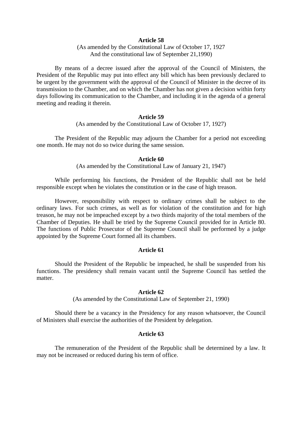(As amended by the Constitutional Law of October 17, 1927 And the constitutional law of September 21,1990)

By means of a decree issued after the approval of the Council of Ministers, the President of the Republic may put into effect any bill which has been previously declared to be urgent by the government with the approval of the Council of Minister in the decree of its transmission to the Chamber, and on which the Chamber has not given a decision within forty days following its communication to the Chamber, and including it in the agenda of a general meeting and reading it therein.

#### **Article 59**

(As amended by the Constitutional Law of October 17, 1927)

The President of the Republic may adjourn the Chamber for a period not exceeding one month. He may not do so twice during the same session.

#### **Article 60**

(As amended by the Constitutional Law of January 21, 1947)

While performing his functions, the President of the Republic shall not be held responsible except when he violates the constitution or in the case of high treason.

However, responsibility with respect to ordinary crimes shall be subject to the ordinary laws. For such crimes, as well as for violation of the constitution and for high treason, he may not be impeached except by a two thirds majority of the total members of the Chamber of Deputies. He shall be tried by the Supreme Council provided for in Article 80. The functions of Public Prosecutor of the Supreme Council shall be performed by a judge appointed by the Supreme Court formed all its chambers.

#### **Article 61**

Should the President of the Republic be impeached, he shall be suspended from his functions. The presidency shall remain vacant until the Supreme Council has settled the matter.

#### **Article 62**

(As amended by the Constitutional Law of September 21, 1990)

Should there be a vacancy in the Presidency for any reason whatsoever, the Council of Ministers shall exercise the authorities of the President by delegation.

#### **Article 63**

The remuneration of the President of the Republic shall be determined by a law. It may not be increased or reduced during his term of office.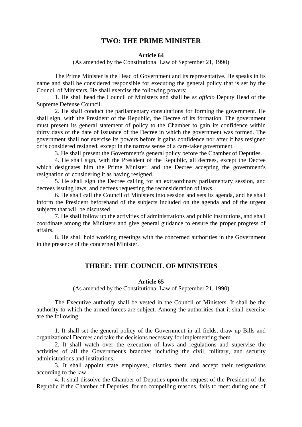#### **TWO: THE PRIME MINISTER**

#### **Article 64**

(As amended by the Constitutional Law of September 21, 1990)

The Prime Minister is the Head of Government and its representative. He speaks in its name and shall be considered responsible for executing the general policy that is set by the Council of Ministers. He shall exercise the following powers:

1. He shall head the Council of Ministers and shall be *ex officio* Deputy Head of the Supreme Defense Council.

2. He shall conduct the parliamentary consultations for forming the government. He shall sign, with the President of the Republic, the Decree of its formation. The government must present its general statement of policy to the Chamber to gain its confidence within thirty days of the date of issuance of the Decree in which the government was formed. The government shall not exercise its powers before it gains confidence nor after it has resigned or is considered resigned, except in the narrow sense of a care-taker government.

3. He shall present the Government's general policy before the Chamber of Deputies.

4. He shall sign, with the President of the Republic, all decrees, except the Decree which designates him the Prime Minister, and the Decree accepting the government's resignation or considering it as having resigned.

5. He shall sign the Decree calling for an extraordinary parliamentary session, and decrees issuing laws, and decrees requesting the reconsideration of laws.

6. He shall call the Council of Ministers into session and sets its agenda, and he shall inform the President beforehand of the subjects included on the agenda and of the urgent subjects that will be discussed.

7. He shall follow up the activities of administrations and public institutions, and shall coordinate among the Ministers and give general guidance to ensure the proper progress of affairs.

8. He shall hold working meetings with the concerned authorities in the Government in the presence of the concerned Minister.

### **THREE: THE COUNCIL OF MINISTERS**

#### **Article 65**

(As amended by the Constitutional Law of September 21, 1990)

The Executive authority shall be vested in the Council of Ministers. It shall be the authority to which the armed forces are subject. Among the authorities that it shall exercise are the following:

1. It shall set the general policy of the Government in all fields, draw up Bills and organizational Decrees and take the decisions necessary for implementing them.

2. It shall watch over the execution of laws and regulations and supervise the activities of all the Government's branches including the civil, military, and security administrations and institutions.

3. It shall appoint state employees, dismiss them and accept their resignations according to the law.

4. It shall dissolve the Chamber of Deputies upon the request of the President of the Republic if the Chamber of Deputies, for no compelling reasons, fails to meet during one of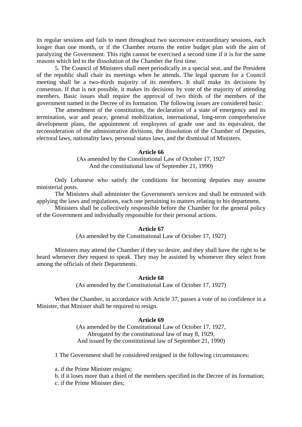its regular sessions and fails to meet throughout two successive extraordinary sessions, each longer than one month, or if the Chamber returns the entire budget plan with the aim of paralyzing the Government. This right cannot be exercised a second time if it is for the same reasons which led to the dissolution of the Chamber the first time.

5. The Council of Ministers shall meet periodically in a special seat, and the President of the republic shall chair its meetings when he attends. The legal quorum for a Council meeting shall be a two-thirds majority of its members. It shall make its decisions by consensus. If that is not possible, it makes its decisions by vote of the majority of attending members. Basic issues shall require the approval of two thirds of the members of the government named in the Decree of its formation. The following issues are considered basic:

The amendment of the constitution, the declaration of a state of emergency and its termination, war and peace, general mobilization, international, long-term comprehensive development plans, the appointment of employees of grade one and its equivalent, the reconsideration of the administrative divisions, the dissolution of the Chamber of Deputies, electoral laws, nationality laws, personal status laws, and the dismissal of Ministers.

#### **Article 66**

(As amended by the Constitutional Law of October 17, 1927 And the constitutional law of September 21, 1990)

Only Lebanese who satisfy the conditions for becoming deputies may assume ministerial posts.

The Ministers shall administer the Government's services and shall be entrusted with applying the laws and regulations, each one pertaining to matters relating to his department.

Ministers shall be collectively responsible before the Chamber for the general policy of the Government and individually responsible for their personal actions.

#### **Article 67**

(As amended by the Constitutional Law of October 17, 1927)

Ministers may attend the Chamber if they so desire, and they shall have the right to be heard whenever they request to speak. They may be assisted by whomever they select from among the officials of their Departments.

#### **Article 68**

(As amended by the Constitutional Law of October 17, 1927)

When the Chamber, in accordance with Article 37, passes a vote of no confidence in a Minister, that Minister shall be required to resign.

#### **Article 69**

(As amended by the Constitutional Law of October 17, 1927, Abrogated by the constitutional law of may 8, 1929, And issued by the constitutional law of September 21, 1990)

1 The Government shall be considered resigned in the following circumstances:

a. if the Prime Minister resigns;

b. if it loses more than a third of the members specified in the Decree of its formation; c. if the Prime Minister dies;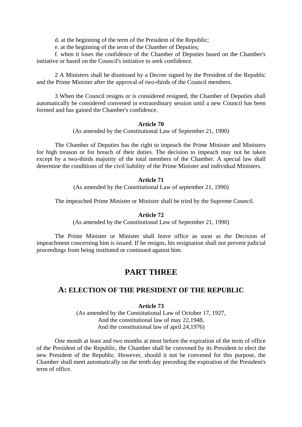d. at the beginning of the term of the President of the Republic;

e. at the beginning of the term of the Chamber of Deputies;

f. when it loses the confidence of the Chamber of Deputies based on the Chamber's initiative or based on the Council's initiative to seek confidence.

2 A Ministers shall be dismissed by a Decree signed by the President of the Republic and the Prime Minister after the approval of two-thirds of the Council members.

3 When the Council resigns or is considered resigned, the Chamber of Deputies shall automatically be considered convened in extraordinary session until a new Council has been formed and has gained the Chamber's confidence.

#### **Article 70**

(As amended by the Constitutional Law of September 21, 1990)

The Chamber of Deputies has the right to impeach the Prime Minister and Ministers for high treason or for breach of their duties. The decision to impeach may not be taken except by a two-thirds majority of the total members of the Chamber. A special law shall determine the conditions of the civil liability of the Prime Minister and individual Ministers.

#### **Article 71**

(As amended by the Constitutional Law of september 21, 1990)

The impeached Prime Minister or Minister shall be tried by the Supreme Council.

#### **Article 72**

(As amended by the Constitutional Law of September 21, 1990)

The Prime Minister or Minister shall leave office as soon as the Decision of impeachment concerning him is issued. If he resigns, his resignation shall not prevent judicial proceedings from being instituted or continued against him.

### **PART THREE**

### **A: ELECTION OF THE PRESIDENT OF THE REPUBLIC**

### **Article 73**

(As amended by the Constitutional Law of October 17, 1927, And the constitutional law of may 22,1948, And the constitutional law of april 24,1976)

One month at least and two months at most before the expiration of the term of office of the President of the Republic, the Chamber shall be convened by its President to elect the new President of the Republic. However, should it not be convened for this purpose, the Chamber shall meet automatically on the tenth day preceding the expiration of the President's term of office.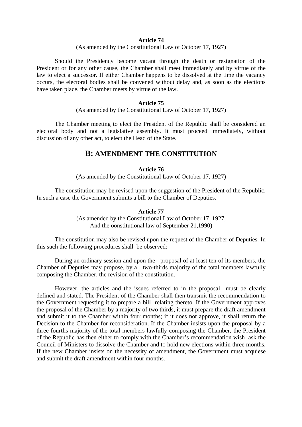#### (As amended by the Constitutional Law of October 17, 1927)

Should the Presidency become vacant through the death or resignation of the President or for any other cause, the Chamber shall meet immediately and by virtue of the law to elect a successor. If either Chamber happens to be dissolved at the time the vacancy occurs, the electoral bodies shall be convened without delay and, as soon as the elections have taken place, the Chamber meets by virtue of the law.

#### **Article 75**

(As amended by the Constitutional Law of October 17, 1927)

The Chamber meeting to elect the President of the Republic shall be considered an electoral body and not a legislative assembly. It must proceed immediately, without discussion of any other act, to elect the Head of the State.

### **B: AMENDMENT THE CONSTITUTION**

#### **Article 76**

(As amended by the Constitutional Law of October 17, 1927)

The constitution may be revised upon the suggestion of the President of the Republic. In such a case the Government submits a bill to the Chamber of Deputies.

#### **Article 77**

(As amended by the Constitutional Law of October 17, 1927, And the oonstitutional law of September 21,1990)

The constitution may also be revised upon the request of the Chamber of Deputies. In this such the following procedures shall be observed:

During an ordinary session and upon the proposal of at least ten of its members, the Chamber of Deputies may propose, by a two-thirds majority of the total members lawfully composing the Chamber, the revision of the constitution.

However, the articles and the issues referred to in the proposal must be clearly defined and stated. The President of the Chamber shall then transmit the recommendation to the Government requesting it to prepare a bill relating thereto. If the Government approves the proposal of the Chamber by a majority of two thirds, it must prepare the draft amendment and submit it to the Chamber within four months; if it does not approve, it shall return the Decision to the Chamber for reconsideration. If the Chamber insists upon the proposal by a three-fourths majority of the total members lawfully composing the Chamber, the President of the Republic has then either to comply with the Chamber's recommendation wish ask the Council of Ministers to dissolve the Chamber and to hold new elections within three months. If the new Chamber insists on the necessity of amendment, the Government must acquiese and submit the draft amendment within four months.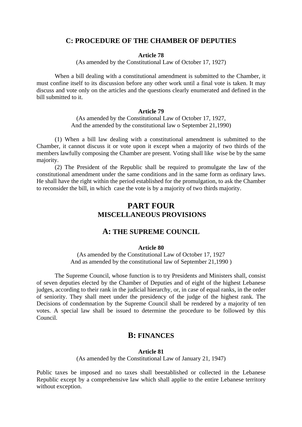#### **C: PROCEDURE OF THE CHAMBER OF DEPUTIES**

#### **Article 78**

(As amended by the Constitutional Law of October 17, 1927)

When a bill dealing with a constitutional amendment is submitted to the Chamber, it must confine itself to its discussion before any other work until a final vote is taken. It may discuss and vote only on the articles and the questions clearly enumerated and defined in the bill submitted to it.

#### **Article 79**

(As amended by the Constitutional Law of October 17, 1927, And the amended by the constitutional law o September 21,1990)

(1) When a bill law dealing with a constitutional amendment is submitted to the Chamber, it cannot discuss it or vote upon it except when a majority of two thirds of the members lawfully composing the Chamber are present. Voting shall like wise be by the same majority.

(2) The President of the Republic shall be required to promulgate the law of the constitutional amendment under the same conditions and in the same form as ordinary laws. He shall have the right within the period established for the promulgation, to ask the Chamber to reconsider the bill, in which case the vote is by a majority of two thirds majority.

### **PART FOUR MISCELLANEOUS PROVISIONS**

### **A: THE SUPREME COUNCIL**

#### **Article 80**

(As amended by the Constitutional Law of October 17, 1927 And as amended by the constitutional law of September 21,1990 )

The Supreme Council, whose function is to try Presidents and Ministers shall, consist of seven deputies elected by the Chamber of Deputies and of eight of the highest Lebanese judges, according to their rank in the judicial hierarchy, or, in case of equal ranks, in the order of seniority. They shall meet under the presidency of the judge of the highest rank. The Decisions of condemnation by the Supreme Council shall be rendered by a majority of ten votes. A special law shall be issued to determine the procedure to be followed by this Council.

### **B: FINANCES**

#### **Article 81**

(As amended by the Constitutional Law of January 21, 1947)

Public taxes be imposed and no taxes shall beestablished or collected in the Lebanese Republic except by a comprehensive law which shall applie to the entire Lebanese territory without exception.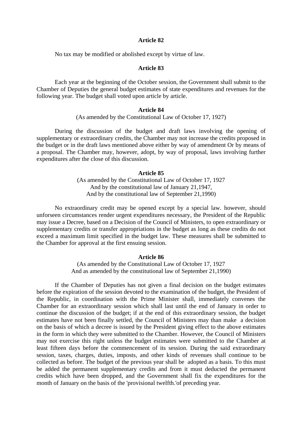No tax may be modified or abolished except by virtue of law.

#### **Article 83**

Each year at the beginning of the October session, the Government shall submit to the Chamber of Deputies the general budget estimates of state expenditures and revenues for the following year. The budget shall voted upon article by article.

#### **Article 84**

#### (As amended by the Constitutional Law of October 17, 1927)

During the discussion of the budget and draft laws involving the opening of supplementary or extraordinary credits, the Chamber may not increase the credits proposed in the budget or in the draft laws mentioned above either by way of amendment Or by means of a proposal. The Chamber may, however, adopt, by way of proposal, laws involving further expenditures after the close of this discussion.

#### **Article 85**

(As amended by the Constitutional Law of October 17, 1927 And by the constitutional law of January 21,1947, And by the constitutional law of September 21,1990)

No extraordinary credit may be opened except by a special law. however, should unforseen circumstances render urgent expenditures necessary, the President of the Republic may issue a Decree, based on a Decision of the Council of Ministers, to open extraordinary or supplementary credits or transfer appropriations in the budget as long as these credits do not exceed a maximum limit specified in the budget law. These measures shall be submitted to the Chamber for approval at the first ensuing session.

#### **Article 86**

(As amended by the Constitutional Law of October 17, 1927 And as amended by the constitutional law of September 21,1990)

If the Chamber of Deputies has not given a final decision on the budget estimates before the expiration of the session devoted to the examination of the budget, the President of the Republic, in coordination with the Prime Minister shall, immediately convenes the Chamber for an extraordinary session which shall last until the end of January in order to continue the discussion of the budget; if at the end of this extraordinary session, the budget estimates have not been finally settled, the Council of Ministers may than make a decision on the basis of which a decree is issued by the President giving effect to the above estimates in the form in which they were submitted to the Chamber. However, the Council of Ministers may not exercise this right unless the budget estimates were submitted to the Chamber at least fifteen days before the commencement of its session. During the said extraordinary session, taxes, charges, duties, imposts, and other kinds of revenues shall continue to be collected as before. The budget of the previous year shall be adopted as a basis. To this must be added the permanent supplementary credits and from it must deducted the permanent credits which have been dropped, and the Government shall fix the expenditures for the month of January on the basis of the 'provisional twelfth.'of preceding year.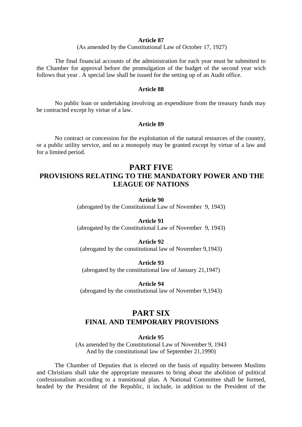(As amended by the Constitutional Law of October 17, 1927)

The final financial accounts of the administration for each year must be submitted to the Chamber for approval before the promulgation of the budget of the second year wich follows that year . A special law shall be issued for the setting up of an Audit office.

#### **Article 88**

No public loan or undertaking involving an expenditure from the treasury funds may be contracted except by virtue of a law.

#### **Article 89**

No contract or concession for the exploitation of the natural resources of the country, or a public utility service, and no a monopoly may be granted except by virtue of a law and for a limited period.

### **PART FIVE PROVISIONS RELATING TO THE MANDATORY POWER AND THE LEAGUE OF NATIONS**

#### **Article 90**

(abrogated by the Constitutional Law of November 9, 1943)

#### **Article 91**

(abrogated by the Constitutional Law of November 9, 1943)

#### **Article 92**

(abrogated by the constitutional law of November 9,1943)

**Article 93**  (abrogated by the constitutional law of January 21,1947)

**Article 94**  (abrogated by the constitutional law of November 9,1943)

### **PART SIX FINAL AND TEMPORARY PROVISIONS**

#### **Article 95**

(As amended by the Constitutional Law of November 9, 1943 And by the constitutional law of September 21,1990)

The Chamber of Deputies that is elected on the basis of equality between Muslims and Christians shall take the appropriate measures to bring about the abolition of political confessionalism according to a transitional plan. A National Committee shall be formed, headed by the President of the Republic, it include, in addition to the President of the